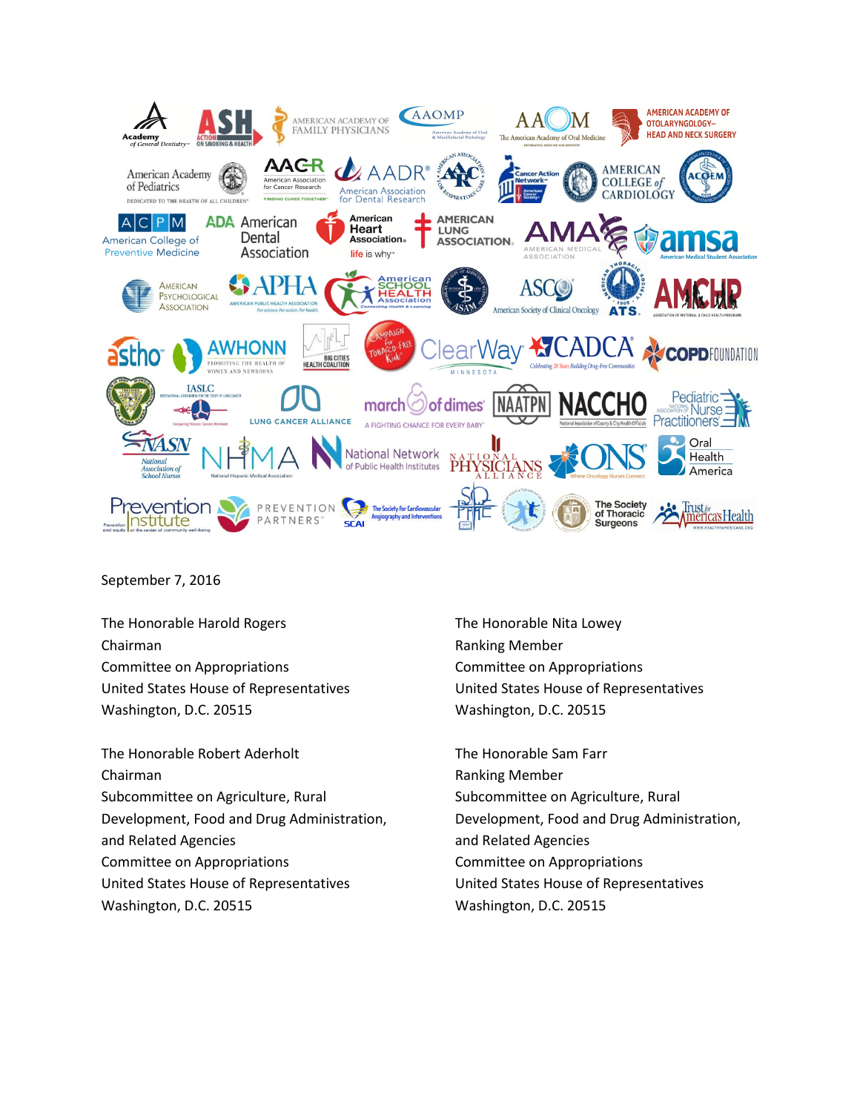

September 7, 2016

The Honorable Harold Rogers Chairman Committee on Appropriations United States House of Representatives Washington, D.C. 20515

The Honorable Robert Aderholt Chairman Subcommittee on Agriculture, Rural Development, Food and Drug Administration, and Related Agencies Committee on Appropriations United States House of Representatives Washington, D.C. 20515

The Honorable Nita Lowey Ranking Member Committee on Appropriations United States House of Representatives Washington, D.C. 20515

The Honorable Sam Farr Ranking Member Subcommittee on Agriculture, Rural Development, Food and Drug Administration, and Related Agencies Committee on Appropriations United States House of Representatives Washington, D.C. 20515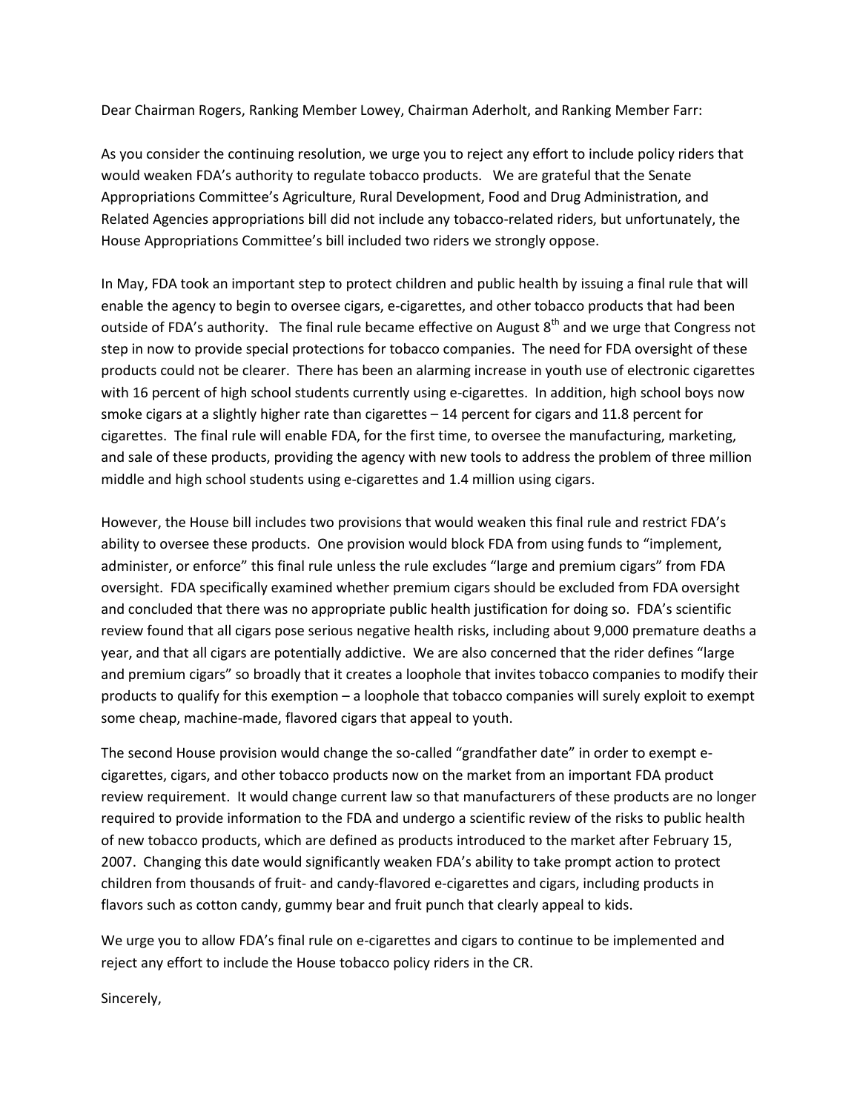Dear Chairman Rogers, Ranking Member Lowey, Chairman Aderholt, and Ranking Member Farr:

As you consider the continuing resolution, we urge you to reject any effort to include policy riders that would weaken FDA's authority to regulate tobacco products. We are grateful that the Senate Appropriations Committee's Agriculture, Rural Development, Food and Drug Administration, and Related Agencies appropriations bill did not include any tobacco-related riders, but unfortunately, the House Appropriations Committee's bill included two riders we strongly oppose.

In May, FDA took an important step to protect children and public health by issuing a final rule that will enable the agency to begin to oversee cigars, e-cigarettes, and other tobacco products that had been outside of FDA's authority. The final rule became effective on August  $8<sup>th</sup>$  and we urge that Congress not step in now to provide special protections for tobacco companies. The need for FDA oversight of these products could not be clearer. There has been an alarming increase in youth use of electronic cigarettes with 16 percent of high school students currently using e-cigarettes. In addition, high school boys now smoke cigars at a slightly higher rate than cigarettes – 14 percent for cigars and 11.8 percent for cigarettes. The final rule will enable FDA, for the first time, to oversee the manufacturing, marketing, and sale of these products, providing the agency with new tools to address the problem of three million middle and high school students using e-cigarettes and 1.4 million using cigars.

However, the House bill includes two provisions that would weaken this final rule and restrict FDA's ability to oversee these products. One provision would block FDA from using funds to "implement, administer, or enforce" this final rule unless the rule excludes "large and premium cigars" from FDA oversight. FDA specifically examined whether premium cigars should be excluded from FDA oversight and concluded that there was no appropriate public health justification for doing so. FDA's scientific review found that all cigars pose serious negative health risks, including about 9,000 premature deaths a year, and that all cigars are potentially addictive. We are also concerned that the rider defines "large and premium cigars" so broadly that it creates a loophole that invites tobacco companies to modify their products to qualify for this exemption – a loophole that tobacco companies will surely exploit to exempt some cheap, machine-made, flavored cigars that appeal to youth.

The second House provision would change the so-called "grandfather date" in order to exempt ecigarettes, cigars, and other tobacco products now on the market from an important FDA product review requirement. It would change current law so that manufacturers of these products are no longer required to provide information to the FDA and undergo a scientific review of the risks to public health of new tobacco products, which are defined as products introduced to the market after February 15, 2007. Changing this date would significantly weaken FDA's ability to take prompt action to protect children from thousands of fruit- and candy-flavored e-cigarettes and cigars, including products in flavors such as cotton candy, gummy bear and fruit punch that clearly appeal to kids.

We urge you to allow FDA's final rule on e-cigarettes and cigars to continue to be implemented and reject any effort to include the House tobacco policy riders in the CR.

Sincerely,